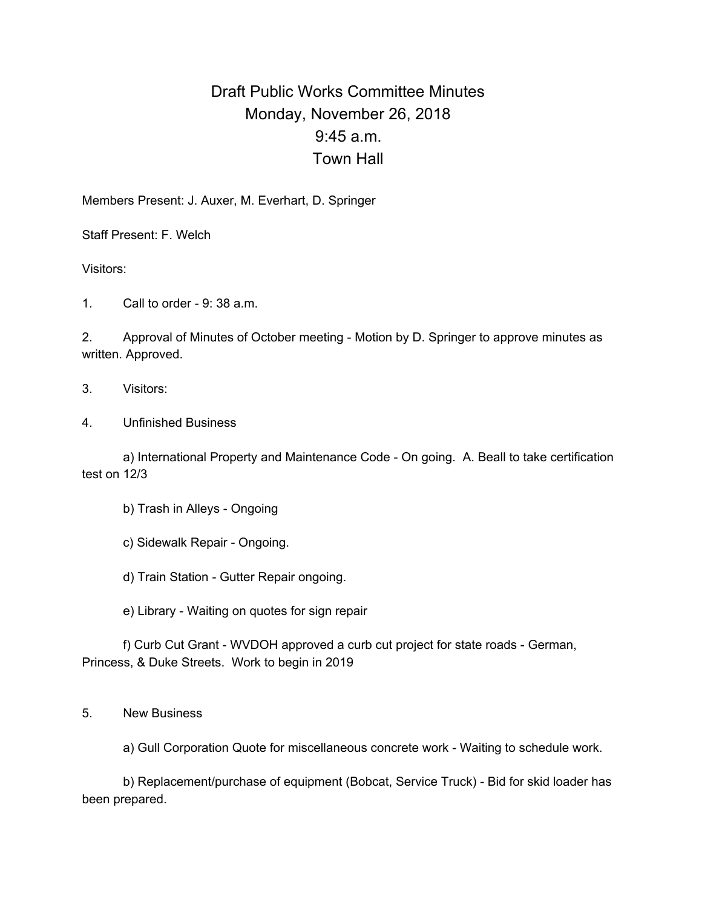## Draft Public Works Committee Minutes Monday, November 26, 2018 9:45 a.m. Town Hall

Members Present: J. Auxer, M. Everhart, D. Springer

Staff Present: F. Welch

Visitors:

1. Call to order - 9: 38 a.m.

2. Approval of Minutes of October meeting - Motion by D. Springer to approve minutes as written. Approved.

- 3. Visitors:
- 4. Unfinished Business

a) International Property and Maintenance Code - On going. A. Beall to take certification test on 12/3

b) Trash in Alleys - Ongoing

c) Sidewalk Repair - Ongoing.

d) Train Station - Gutter Repair ongoing.

e) Library - Waiting on quotes for sign repair

f) Curb Cut Grant - WVDOH approved a curb cut project for state roads - German, Princess, & Duke Streets. Work to begin in 2019

5. New Business

a) Gull Corporation Quote for miscellaneous concrete work - Waiting to schedule work.

b) Replacement/purchase of equipment (Bobcat, Service Truck) - Bid for skid loader has been prepared.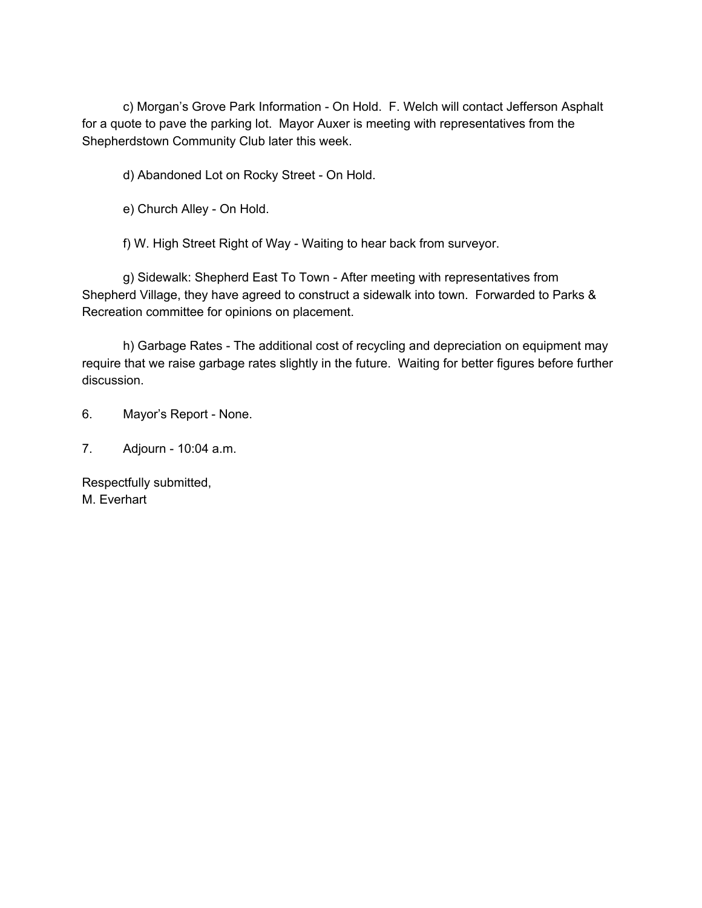c) Morgan's Grove Park Information - On Hold. F. Welch will contact Jefferson Asphalt for a quote to pave the parking lot. Mayor Auxer is meeting with representatives from the Shepherdstown Community Club later this week.

d) Abandoned Lot on Rocky Street - On Hold.

e) Church Alley - On Hold.

f) W. High Street Right of Way - Waiting to hear back from surveyor.

g) Sidewalk: Shepherd East To Town - After meeting with representatives from Shepherd Village, they have agreed to construct a sidewalk into town. Forwarded to Parks & Recreation committee for opinions on placement.

h) Garbage Rates - The additional cost of recycling and depreciation on equipment may require that we raise garbage rates slightly in the future. Waiting for better figures before further discussion.

6. Mayor's Report - None.

7. Adjourn - 10:04 a.m.

Respectfully submitted, M. Everhart